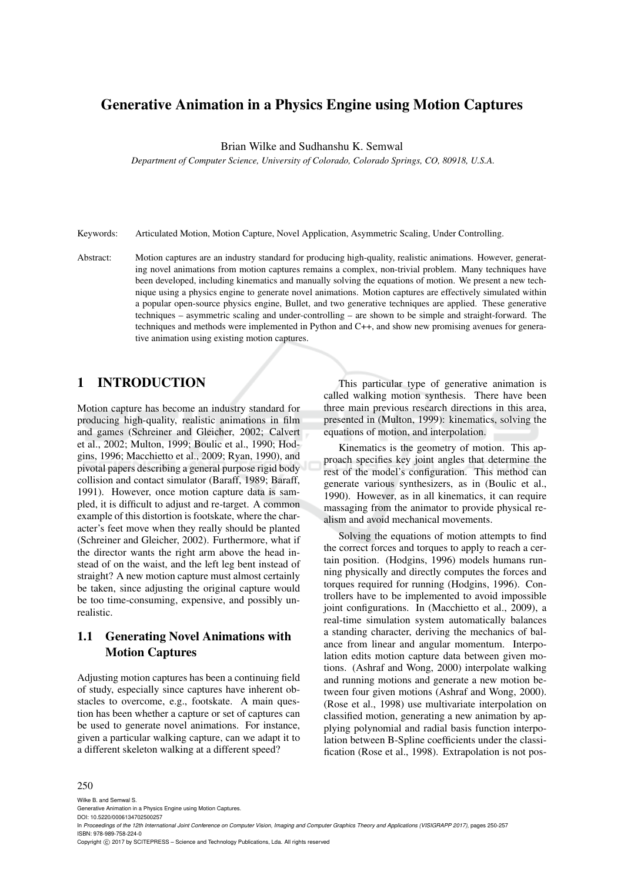# Generative Animation in a Physics Engine using Motion Captures

Brian Wilke and Sudhanshu K. Semwal

*Department of Computer Science, University of Colorado, Colorado Springs, CO, 80918, U.S.A.*

Keywords: Articulated Motion, Motion Capture, Novel Application, Asymmetric Scaling, Under Controlling.

Abstract: Motion captures are an industry standard for producing high-quality, realistic animations. However, generating novel animations from motion captures remains a complex, non-trivial problem. Many techniques have been developed, including kinematics and manually solving the equations of motion. We present a new technique using a physics engine to generate novel animations. Motion captures are effectively simulated within a popular open-source physics engine, Bullet, and two generative techniques are applied. These generative techniques – asymmetric scaling and under-controlling – are shown to be simple and straight-forward. The techniques and methods were implemented in Python and C++, and show new promising avenues for generative animation using existing motion captures.

### 1 INTRODUCTION

Motion capture has become an industry standard for producing high-quality, realistic animations in film and games (Schreiner and Gleicher, 2002; Calvert et al., 2002; Multon, 1999; Boulic et al., 1990; Hodgins, 1996; Macchietto et al., 2009; Ryan, 1990), and pivotal papers describing a general purpose rigid body collision and contact simulator (Baraff, 1989; Baraff, 1991). However, once motion capture data is sampled, it is difficult to adjust and re-target. A common example of this distortion is footskate, where the character's feet move when they really should be planted (Schreiner and Gleicher, 2002). Furthermore, what if the director wants the right arm above the head instead of on the waist, and the left leg bent instead of straight? A new motion capture must almost certainly be taken, since adjusting the original capture would be too time-consuming, expensive, and possibly unrealistic.

## 1.1 Generating Novel Animations with Motion Captures

Adjusting motion captures has been a continuing field of study, especially since captures have inherent obstacles to overcome, e.g., footskate. A main question has been whether a capture or set of captures can be used to generate novel animations. For instance, given a particular walking capture, can we adapt it to a different skeleton walking at a different speed?

This particular type of generative animation is called walking motion synthesis. There have been three main previous research directions in this area, presented in (Multon, 1999): kinematics, solving the equations of motion, and interpolation.

Kinematics is the geometry of motion. This approach specifies key joint angles that determine the rest of the model's configuration. This method can generate various synthesizers, as in (Boulic et al., 1990). However, as in all kinematics, it can require massaging from the animator to provide physical realism and avoid mechanical movements.

Solving the equations of motion attempts to find the correct forces and torques to apply to reach a certain position. (Hodgins, 1996) models humans running physically and directly computes the forces and torques required for running (Hodgins, 1996). Controllers have to be implemented to avoid impossible joint configurations. In (Macchietto et al., 2009), a real-time simulation system automatically balances a standing character, deriving the mechanics of balance from linear and angular momentum. Interpolation edits motion capture data between given motions. (Ashraf and Wong, 2000) interpolate walking and running motions and generate a new motion between four given motions (Ashraf and Wong, 2000). (Rose et al., 1998) use multivariate interpolation on classified motion, generating a new animation by applying polynomial and radial basis function interpolation between B-Spline coefficients under the classification (Rose et al., 1998). Extrapolation is not pos-

#### 250

Wilke B. and Semwal S.

Generative Animation in a Physics Engine using Motion Captures. DOI: 10.5220/0006134702500257

In *Proceedings of the 12th International Joint Conference on Computer Vision, Imaging and Computer Graphics Theory and Applications (VISIGRAPP 2017)*, pages 250-257 ISBN: 978-989-758-224-0

Copyright © 2017 by SCITEPRESS - Science and Technology Publications, Lda. All rights reserved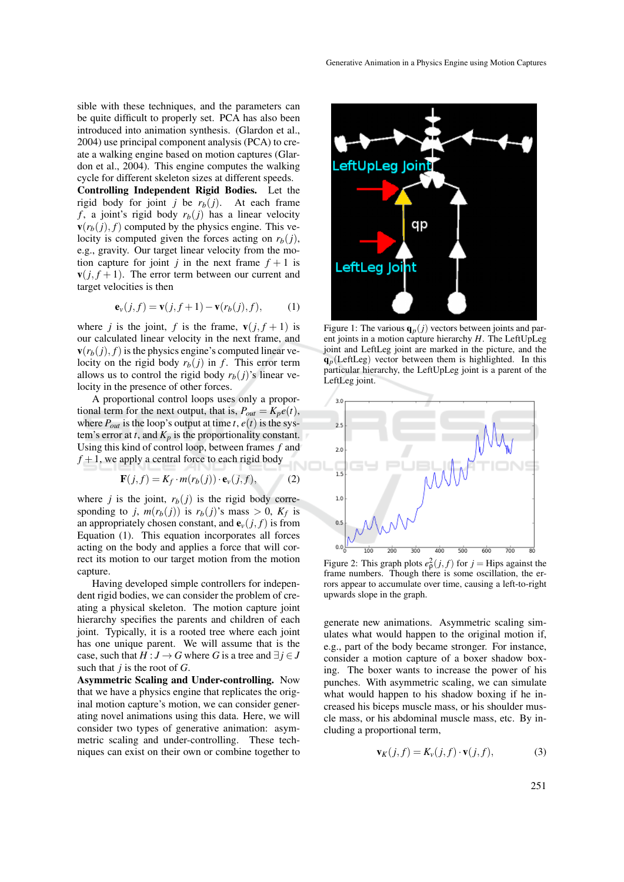sible with these techniques, and the parameters can be quite difficult to properly set. PCA has also been introduced into animation synthesis. (Glardon et al., 2004) use principal component analysis (PCA) to create a walking engine based on motion captures (Glardon et al., 2004). This engine computes the walking cycle for different skeleton sizes at different speeds.

Controlling Independent Rigid Bodies. Let the rigid body for joint *j* be  $r_b(j)$ . At each frame  $f$ , a joint's rigid body  $r_b(j)$  has a linear velocity  $\mathbf{v}(r_b(j), f)$  computed by the physics engine. This velocity is computed given the forces acting on  $r_b(j)$ , e.g., gravity. Our target linear velocity from the motion capture for joint *j* in the next frame  $f + 1$  is  $\mathbf{v}(j, f+1)$ . The error term between our current and target velocities is then

$$
\mathbf{e}_v(j,f) = \mathbf{v}(j,f+1) - \mathbf{v}(r_b(j),f),\tag{1}
$$

where *j* is the joint, *f* is the frame,  $\mathbf{v}(j, f + 1)$  is our calculated linear velocity in the next frame, and  $\mathbf{v}(r_b(j), f)$  is the physics engine's computed linear velocity on the rigid body  $r_b(i)$  in *f*. This error term allows us to control the rigid body  $r_b(j)$ 's linear velocity in the presence of other forces.

A proportional control loops uses only a proportional term for the next output, that is,  $P_{out} = K_p e(t)$ , where  $P_{out}$  is the loop's output at time *t*,  $e(t)$  is the system's error at  $t$ , and  $K_p$  is the proportionality constant. Using this kind of control loop, between frames *f* and  $f + 1$ , we apply a central force to each rigid body

$$
\mathbf{F}(j,f) = K_f \cdot m(r_b(j)) \cdot \mathbf{e}_v(j,f),\tag{2}
$$

where *j* is the joint,  $r_b(j)$  is the rigid body corresponding to *j*,  $m(r_b(j))$  is  $r_b(j)$ 's mass  $> 0$ ,  $K_f$  is an appropriately chosen constant, and  $e_v(j, f)$  is from Equation (1). This equation incorporates all forces acting on the body and applies a force that will correct its motion to our target motion from the motion capture.

Having developed simple controllers for independent rigid bodies, we can consider the problem of creating a physical skeleton. The motion capture joint hierarchy specifies the parents and children of each joint. Typically, it is a rooted tree where each joint has one unique parent. We will assume that is the case, such that  $H: J \to G$  where *G* is a tree and  $\exists j \in J$ such that *j* is the root of *G*.

Asymmetric Scaling and Under-controlling. Now that we have a physics engine that replicates the original motion capture's motion, we can consider generating novel animations using this data. Here, we will consider two types of generative animation: asymmetric scaling and under-controlling. These techniques can exist on their own or combine together to



Figure 1: The various  $\mathbf{q}_p(j)$  vectors between joints and parent joints in a motion capture hierarchy *H*. The LeftUpLeg joint and LeftLeg joint are marked in the picture, and the  $q_p$ (LeftLeg) vector between them is highlighted. In this particular hierarchy, the LeftUpLeg joint is a parent of the LeftLeg joint.



Figure 2: This graph plots  $e_p^2(j, f)$  for  $j =$  Hips against the frame numbers. Though there is some oscillation, the errors appear to accumulate over time, causing a left-to-right upwards slope in the graph.

generate new animations. Asymmetric scaling simulates what would happen to the original motion if, e.g., part of the body became stronger. For instance, consider a motion capture of a boxer shadow boxing. The boxer wants to increase the power of his punches. With asymmetric scaling, we can simulate what would happen to his shadow boxing if he increased his biceps muscle mass, or his shoulder muscle mass, or his abdominal muscle mass, etc. By including a proportional term,

$$
\mathbf{v}_K(j, f) = K_v(j, f) \cdot \mathbf{v}(j, f), \tag{3}
$$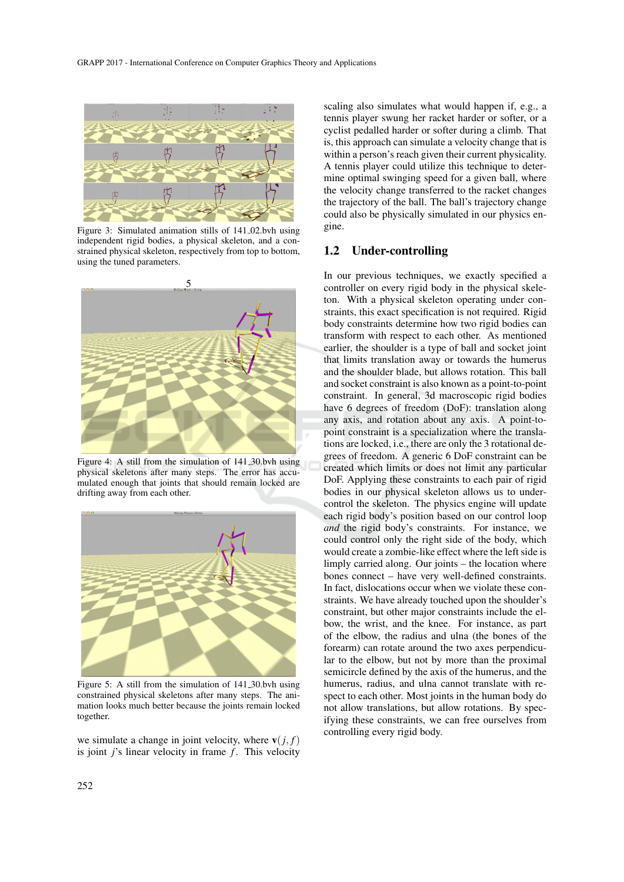

Figure 3: Simulated animation stills of 141 02.bvh using independent rigid bodies, a physical skeleton, and a constrained physical skeleton, respectively from top to bottom, using the tuned parameters.



Figure 4: A still from the simulation of 141 30.bvh using physical skeletons after many steps. The error has accumulated enough that joints that should remain locked are drifting away from each other.



Figure 5: A still from the simulation of 141.30 by using constrained physical skeletons after many steps. The animation looks much better because the joints remain locked together.

we simulate a change in joint velocity, where  $\mathbf{v}(i, f)$ is joint *j*'s linear velocity in frame *f*. This velocity

scaling also simulates what would happen if, e.g., a tennis player swung her racket harder or softer, or a cyclist pedalled harder or softer during a climb. That is, this approach can simulate a velocity change that is within a person's reach given their current physicality. A tennis player could utilize this technique to determine optimal swinging speed for a given ball, where the velocity change transferred to the racket changes the trajectory of the ball. The ball's trajectory change could also be physically simulated in our physics engine.

#### 1.2 Under-controlling

In our previous techniques, we exactly specified a controller on every rigid body in the physical skeleton. With a physical skeleton operating under constraints, this exact specification is not required. Rigid body constraints determine how two rigid bodies can transform with respect to each other. As mentioned earlier, the shoulder is a type of ball and socket joint that limits translation away or towards the humerus and the shoulder blade, but allows rotation. This ball and socket constraint is also known as a point-to-point constraint. In general, 3d macroscopic rigid bodies have 6 degrees of freedom (DoF): translation along any axis, and rotation about any axis. A point-topoint constraint is a specialization where the translations are locked, i.e., there are only the 3 rotational degrees of freedom. A generic 6 DoF constraint can be created which limits or does not limit any particular DoF. Applying these constraints to each pair of rigid bodies in our physical skeleton allows us to undercontrol the skeleton. The physics engine will update each rigid body's position based on our control loop *and* the rigid body's constraints. For instance, we could control only the right side of the body, which would create a zombie-like effect where the left side is limply carried along. Our joints – the location where bones connect – have very well-defined constraints. In fact, dislocations occur when we violate these constraints. We have already touched upon the shoulder's constraint, but other major constraints include the elbow, the wrist, and the knee. For instance, as part of the elbow, the radius and ulna (the bones of the forearm) can rotate around the two axes perpendicular to the elbow, but not by more than the proximal semicircle defined by the axis of the humerus, and the humerus, radius, and ulna cannot translate with respect to each other. Most joints in the human body do not allow translations, but allow rotations. By specifying these constraints, we can free ourselves from controlling every rigid body.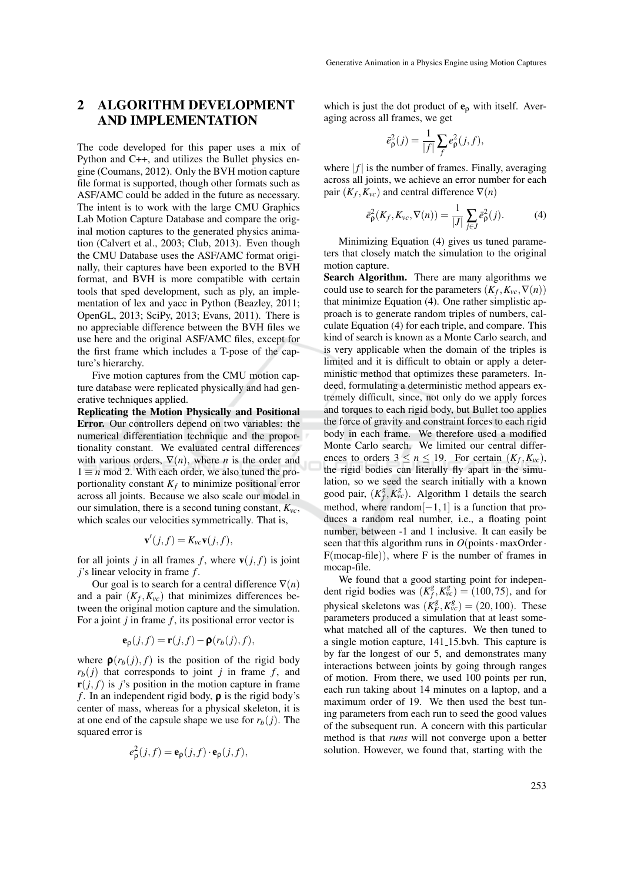## 2 ALGORITHM DEVELOPMENT AND IMPLEMENTATION

The code developed for this paper uses a mix of Python and C++, and utilizes the Bullet physics engine (Coumans, 2012). Only the BVH motion capture file format is supported, though other formats such as ASF/AMC could be added in the future as necessary. The intent is to work with the large CMU Graphics Lab Motion Capture Database and compare the original motion captures to the generated physics animation (Calvert et al., 2003; Club, 2013). Even though the CMU Database uses the ASF/AMC format originally, their captures have been exported to the BVH format, and BVH is more compatible with certain tools that sped development, such as ply, an implementation of lex and yacc in Python (Beazley, 2011; OpenGL, 2013; SciPy, 2013; Evans, 2011). There is no appreciable difference between the BVH files we use here and the original ASF/AMC files, except for the first frame which includes a T-pose of the capture's hierarchy.

Five motion captures from the CMU motion capture database were replicated physically and had generative techniques applied.

Replicating the Motion Physically and Positional Error. Our controllers depend on two variables: the numerical differentiation technique and the proportionality constant. We evaluated central differences with various orders,  $\nabla(n)$ , where *n* is the order and  $1 \equiv n \mod 2$ . With each order, we also tuned the proportionality constant *K<sup>f</sup>* to minimize positional error across all joints. Because we also scale our model in our simulation, there is a second tuning constant,  $K_{vc}$ , which scales our velocities symmetrically. That is,

$$
\mathbf{v}'(j,f)=K_{vc}\mathbf{v}(j,f),
$$

for all joints *j* in all frames *f*, where  $\mathbf{v}(j, f)$  is joint *j*'s linear velocity in frame *f* .

Our goal is to search for a central difference  $\nabla(n)$ and a pair  $(K_f, K_{vc})$  that minimizes differences between the original motion capture and the simulation. For a joint *j* in frame *f* , its positional error vector is

$$
\mathbf{e}_{\rho}(j,f) = \mathbf{r}(j,f) - \mathbf{\rho}(r_b(j),f),
$$

where  $\rho(r_b(j), f)$  is the position of the rigid body  $r_b(j)$  that corresponds to joint *j* in frame *f*, and  $\mathbf{r}(i, f)$  is *j*'s position in the motion capture in frame *f* . In an independent rigid body, ρ is the rigid body's center of mass, whereas for a physical skeleton, it is at one end of the capsule shape we use for  $r_b(i)$ . The squared error is

$$
e_{\rho}^{2}(j,f) = \mathbf{e}_{\rho}(j,f) \cdot \mathbf{e}_{\rho}(j,f),
$$

which is just the dot product of  $e_{\rho}$  with itself. Averaging across all frames, we get

$$
\bar{e}_{\rho}^{2}(j) = \frac{1}{|f|} \sum_{f} e_{\rho}^{2}(j, f),
$$

where  $|f|$  is the number of frames. Finally, averaging across all joints, we achieve an error number for each pair  $(K_f, K_{vc})$  and central difference  $\nabla(n)$ 

$$
\bar{e}_{\rho}^{2}(K_{f}, K_{vc}, \nabla(n)) = \frac{1}{|J|} \sum_{j \in J} \bar{e}_{\rho}^{2}(j).
$$
 (4)

Minimizing Equation (4) gives us tuned parameters that closely match the simulation to the original motion capture.

Search Algorithm. There are many algorithms we could use to search for the parameters  $(K_f, K_{vc}, \nabla(n))$ that minimize Equation (4). One rather simplistic approach is to generate random triples of numbers, calculate Equation (4) for each triple, and compare. This kind of search is known as a Monte Carlo search, and is very applicable when the domain of the triples is limited and it is difficult to obtain or apply a deterministic method that optimizes these parameters. Indeed, formulating a deterministic method appears extremely difficult, since, not only do we apply forces and torques to each rigid body, but Bullet too applies the force of gravity and constraint forces to each rigid body in each frame. We therefore used a modified Monte Carlo search. We limited our central differences to orders  $3 \le n \le 19$ . For certain  $(K_f, K_{vc})$ , the rigid bodies can literally fly apart in the simulation, so we seed the search initially with a known good pair,  $(K_f^g)$  $f_f^g$ ,  $K_{vc}^g$ ). Algorithm 1 details the search method, where random $[-1,1]$  is a function that produces a random real number, i.e., a floating point number, between -1 and 1 inclusive. It can easily be seen that this algorithm runs in  $O(points \cdot maxOrder \cdot$ F(mocap-file)), where F is the number of frames in mocap-file.

We found that a good starting point for independent rigid bodies was  $(K_f^g)$  $f_f^g$ ,  $K_{vc}^g$ ) = (100, 75), and for physical skeletons was  $(K_F^g, K_{vc}^g) = (20, 100)$ . These parameters produced a simulation that at least somewhat matched all of the captures. We then tuned to a single motion capture, 141 15.bvh. This capture is by far the longest of our 5, and demonstrates many interactions between joints by going through ranges of motion. From there, we used 100 points per run, each run taking about 14 minutes on a laptop, and a maximum order of 19. We then used the best tuning parameters from each run to seed the good values of the subsequent run. A concern with this particular method is that *runs* will not converge upon a better solution. However, we found that, starting with the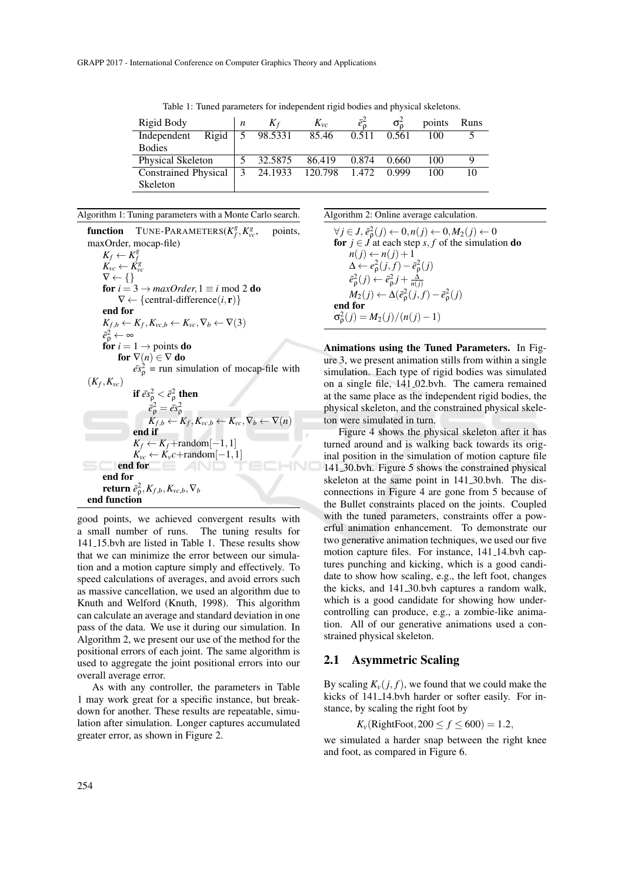| Rigid Body                  | n | $K_f$   | $K_{vc}$      |       | $\sigma_{\rm o}$ | points | Runs |
|-----------------------------|---|---------|---------------|-------|------------------|--------|------|
| Rigid<br>Independent        | 5 | 98.5331 | 85.46         | 0.511 | 0.561            | 100    |      |
| <b>Bodies</b>               |   |         |               |       |                  |        |      |
| <b>Physical Skeleton</b>    |   | 32.5875 | 86.419        | 0.874 | 0.660            | 100    |      |
| <b>Constrained Physical</b> | 3 | 24.1933 | 120.798 1.472 |       | 0.999            | 100    | 10   |
| Skeleton                    |   |         |               |       |                  |        |      |

Table 1: Tuned parameters for independent rigid bodies and physical skeletons.

Algorithm 1: Tuning parameters with a Monte Carlo search.

function TUNE-PARAMETERS( $K_f^g$ ,  $K_g^g$ ) points. maxOrder, mocap-file)  $K_f \leftarrow K_f^g$ <br>  $K_{vc} \leftarrow K_{vc}^g$  $\nabla \leftarrow \{\}$ for  $i = 3 \rightarrow maxOrder, 1 \equiv i \mod 2$  do  $\nabla \leftarrow {\text{central-difference}(i, \mathbf{r})}$ end for  $K_{f,b} \leftarrow K_f, K_{vc,b} \leftarrow K_{vc}, \nabla_b \leftarrow \nabla(3)$  $\bar{e}_{\rho}^2 \leftarrow \infty$ for  $i = 1 \rightarrow$  points do for  $\nabla(n) \in \nabla$  do  $\bar{\epsilon} s_{\rho}^2$  = run simulation of mocap-file with  $(K_f, K_{vc})$ if  $\bar{e s}^2_\text{\tiny p} < \bar{e}^2_\text{\tiny p}$  then  $\vec{e}_p^2 = \vec{e} s_p^2$ <br>  $K_{f,b} \leftarrow K_f, K_{vc,b} \leftarrow K_{vc}, \nabla_b \leftarrow \nabla(n)$ <br>
end if  $K_f \leftarrow K_f + \text{random}[-1,1]$  $K_{vc} \leftarrow K_v c + \text{random}[-1,1]$ <br>**I** for end for end for  $\mathbf{return} \; \bar{e}^2_{\mathsf{p}}, K_{f,b}, K_{\mathsf{vc}, b}, \nabla_b$ end function

good points, we achieved convergent results with a small number of runs. The tuning results for 141 15.bvh are listed in Table 1. These results show that we can minimize the error between our simulation and a motion capture simply and effectively. To speed calculations of averages, and avoid errors such as massive cancellation, we used an algorithm due to Knuth and Welford (Knuth, 1998). This algorithm can calculate an average and standard deviation in one pass of the data. We use it during our simulation. In Algorithm 2, we present our use of the method for the positional errors of each joint. The same algorithm is used to aggregate the joint positional errors into our overall average error.

As with any controller, the parameters in Table 1 may work great for a specific instance, but breakdown for another. These results are repeatable, simulation after simulation. Longer captures accumulated greater error, as shown in Figure 2.

Algorithm 2: Online average calculation.

$$
\forall j \in J, \vec{e}_{\rho}^{2}(j) \leftarrow 0, n(j) \leftarrow 0, M_{2}(j) \leftarrow 0
$$
\n**for**  $j \in J$  at each step  $s, f$  of the simulation **do**  
\n $n(j) \leftarrow n(j) + 1$   
\n $\Delta \leftarrow e_{\rho}^{2}(j, f) - \vec{e}_{\rho}^{2}(j)$   
\n $\vec{e}_{\rho}^{2}(j) \leftarrow \vec{e}_{\rho}^{2}j + \frac{\Delta}{n(j)}$   
\n $M_{2}(j) \leftarrow \Delta(\vec{e}_{\rho}^{2}(j, f) - \vec{e}_{\rho}^{2}(j)$   
\n**end for**  
\n $\sigma_{\rho}^{2}(j) = M_{2}(j)/(n(j) - 1)$ 

Animations using the Tuned Parameters. In Figure 3, we present animation stills from within a single simulation. Each type of rigid bodies was simulated on a single file, 141 02.bvh. The camera remained at the same place as the independent rigid bodies, the physical skeleton, and the constrained physical skeleton were simulated in turn.

Figure 4 shows the physical skeleton after it has turned around and is walking back towards its original position in the simulation of motion capture file 141 30.bvh. Figure 5 shows the constrained physical skeleton at the same point in 141 30.bvh. The disconnections in Figure 4 are gone from 5 because of the Bullet constraints placed on the joints. Coupled with the tuned parameters, constraints offer a powerful animation enhancement. To demonstrate our two generative animation techniques, we used our five motion capture files. For instance, 141<sub>-14</sub>.bvh captures punching and kicking, which is a good candidate to show how scaling, e.g., the left foot, changes the kicks, and 141 30.bvh captures a random walk, which is a good candidate for showing how undercontrolling can produce, e.g., a zombie-like animation. All of our generative animations used a constrained physical skeleton.

#### 2.1 Asymmetric Scaling

By scaling  $K_v(i, f)$ , we found that we could make the kicks of 141 14.bvh harder or softer easily. For instance, by scaling the right foot by

$$
K_{\nu}(\text{RightRoot}, 200 \le f \le 600) = 1.2,
$$

we simulated a harder snap between the right knee and foot, as compared in Figure 6.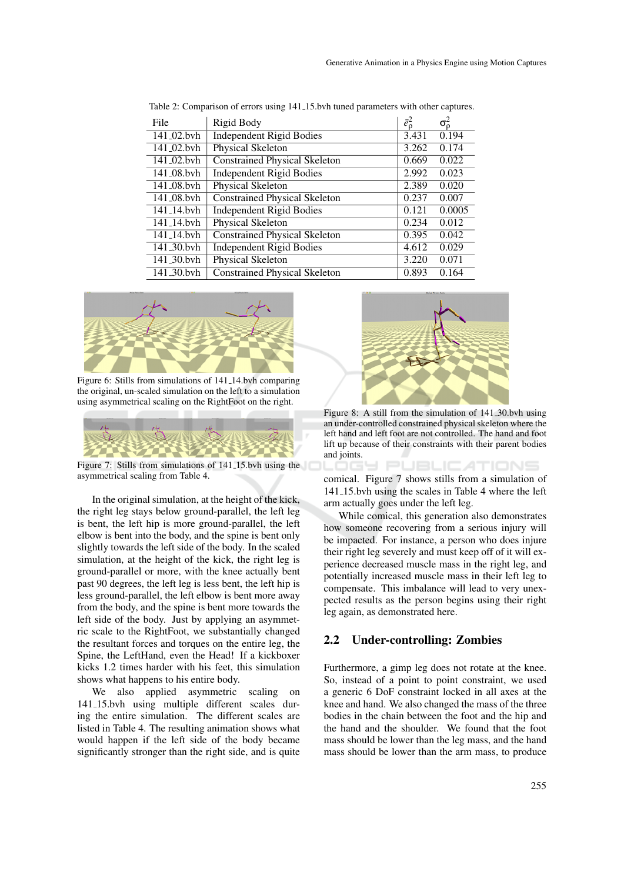| File                    | Rigid Body                           | $\bar{e}_{\mathfrak{0}}^{2}$ | $\sigma_0^2$ |
|-------------------------|--------------------------------------|------------------------------|--------------|
| 141_02.bvh              | <b>Independent Rigid Bodies</b>      | 3.431                        | 0.194        |
| $141_02$ , byh          | Physical Skeleton                    | 3.262                        | 0.174        |
| 141 <sub>-02</sub> .bvh | <b>Constrained Physical Skeleton</b> | 0.669                        | 0.022        |
| 141_08.bvh              | <b>Independent Rigid Bodies</b>      | 2.992                        | 0.023        |
| 141 <sub>-08</sub> .bvh | Physical Skeleton                    | 2.389                        | 0.020        |
| 141 <sub>-08</sub> .bvh | <b>Constrained Physical Skeleton</b> | 0.237                        | 0.007        |
| 141 14.byh              | <b>Independent Rigid Bodies</b>      | 0.121                        | 0.0005       |
| $141 - 14$ .byh         | Physical Skeleton                    | 0.234                        | 0.012        |
| 141 <sub>-14</sub> .byh | Constrained Physical Skeleton        | 0.395                        | 0.042        |
| 141 <sub>-30</sub> .byh | <b>Independent Rigid Bodies</b>      | 4.612                        | 0.029        |
| 141_30.bvh              | Physical Skeleton                    | 3.220                        | 0.071        |
| 141 <sub>-30</sub> .bvh | Constrained Physical Skeleton        | 0.893                        | 0.164        |

Table 2: Comparison of errors using 141 15.bvh tuned parameters with other captures.



Figure 6: Stills from simulations of 141 14.bvh comparing the original, un-scaled simulation on the left to a simulation using asymmetrical scaling on the RightFoot on the right.



Figure 7: Stills from simulations of 141 15.bvh using the asymmetrical scaling from Table 4.

In the original simulation, at the height of the kick, the right leg stays below ground-parallel, the left leg is bent, the left hip is more ground-parallel, the left elbow is bent into the body, and the spine is bent only slightly towards the left side of the body. In the scaled simulation, at the height of the kick, the right leg is ground-parallel or more, with the knee actually bent past 90 degrees, the left leg is less bent, the left hip is less ground-parallel, the left elbow is bent more away from the body, and the spine is bent more towards the left side of the body. Just by applying an asymmetric scale to the RightFoot, we substantially changed the resultant forces and torques on the entire leg, the Spine, the LeftHand, even the Head! If a kickboxer kicks 1.2 times harder with his feet, this simulation shows what happens to his entire body.

We also applied asymmetric scaling on 141 15.bvh using multiple different scales during the entire simulation. The different scales are listed in Table 4. The resulting animation shows what would happen if the left side of the body became significantly stronger than the right side, and is quite



Figure 8: A still from the simulation of 141 30.bvh using an under-controlled constrained physical skeleton where the left hand and left foot are not controlled. The hand and foot lift up because of their constraints with their parent bodies and joints.<br>LOCH PUBLICATIONS

comical. Figure 7 shows stills from a simulation of 141 15.bvh using the scales in Table 4 where the left arm actually goes under the left leg.

While comical, this generation also demonstrates how someone recovering from a serious injury will be impacted. For instance, a person who does injure their right leg severely and must keep off of it will experience decreased muscle mass in the right leg, and potentially increased muscle mass in their left leg to compensate. This imbalance will lead to very unexpected results as the person begins using their right leg again, as demonstrated here.

#### 2.2 Under-controlling: Zombies

Furthermore, a gimp leg does not rotate at the knee. So, instead of a point to point constraint, we used a generic 6 DoF constraint locked in all axes at the knee and hand. We also changed the mass of the three bodies in the chain between the foot and the hip and the hand and the shoulder. We found that the foot mass should be lower than the leg mass, and the hand mass should be lower than the arm mass, to produce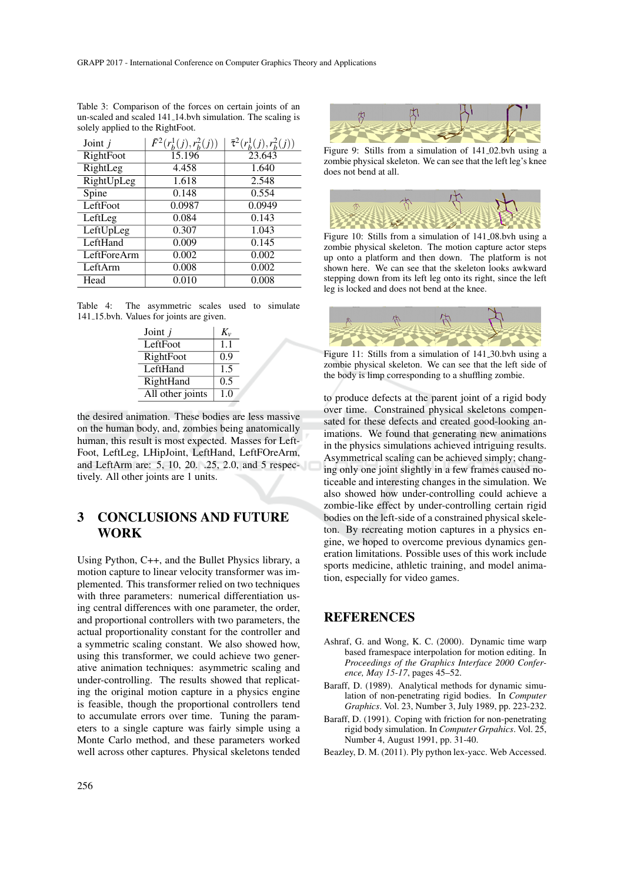| Joint $j$   | $\bar{F}^2(r_h^1(j), r_h^2(j))$ | $\bar{\tau}^2(r_b^1(j), r_b^2(j))$ |
|-------------|---------------------------------|------------------------------------|
| RightFoot   | 15.196                          | 23.643                             |
| RightLeg    | 4.458                           | 1.640                              |
| RightUpLeg  | 1.618                           | 2.548                              |
| Spine       | 0.148                           | 0.554                              |
| LeftFoot    | 0.0987                          | 0.0949                             |
| LeftLeg     | 0.084                           | 0.143                              |
| LeftUpLeg   | 0.307                           | 1.043                              |
| LeftHand    | 0.009                           | 0.145                              |
| LeftForeArm | 0.002                           | 0.002                              |
| LeftArm     | 0.008                           | 0.002                              |
| Head        | 0.010                           | 0.008                              |

Table 3: Comparison of the forces on certain joints of an un-scaled and scaled 141 14.bvh simulation. The scaling is solely applied to the RightFoot.

Table 4: The asymmetric scales used to simulate 141 15.bvh. Values for joints are given.

| Joint $j$        | $K_{v}$ |
|------------------|---------|
| LeftFoot         | 1.1     |
| RightFoot        | 0.9     |
| LeftHand         | 1.5     |
| RightHand        | 0.5     |
| All other joints | 1.0     |

the desired animation. These bodies are less massive on the human body, and, zombies being anatomically human, this result is most expected. Masses for Left-Foot, LeftLeg, LHipJoint, LeftHand, LeftFOreArm, and LeftArm are: 5, 10, 20. .25, 2.0, and 5 respectively. All other joints are 1 units.

## 3 CONCLUSIONS AND FUTURE WORK

Using Python, C++, and the Bullet Physics library, a motion capture to linear velocity transformer was implemented. This transformer relied on two techniques with three parameters: numerical differentiation using central differences with one parameter, the order, and proportional controllers with two parameters, the actual proportionality constant for the controller and a symmetric scaling constant. We also showed how, using this transformer, we could achieve two generative animation techniques: asymmetric scaling and under-controlling. The results showed that replicating the original motion capture in a physics engine is feasible, though the proportional controllers tend to accumulate errors over time. Tuning the parameters to a single capture was fairly simple using a Monte Carlo method, and these parameters worked well across other captures. Physical skeletons tended



Figure 9: Stills from a simulation of 141 02.bvh using a zombie physical skeleton. We can see that the left leg's knee does not bend at all.



Figure 10: Stills from a simulation of 141 08.bvh using a zombie physical skeleton. The motion capture actor steps up onto a platform and then down. The platform is not shown here. We can see that the skeleton looks awkward stepping down from its left leg onto its right, since the left leg is locked and does not bend at the knee.



Figure 11: Stills from a simulation of 141 30.bvh using a zombie physical skeleton. We can see that the left side of the body is limp corresponding to a shuffling zombie.

to produce defects at the parent joint of a rigid body over time. Constrained physical skeletons compensated for these defects and created good-looking animations. We found that generating new animations in the physics simulations achieved intriguing results. Asymmetrical scaling can be achieved simply; changing only one joint slightly in a few frames caused noticeable and interesting changes in the simulation. We also showed how under-controlling could achieve a zombie-like effect by under-controlling certain rigid bodies on the left-side of a constrained physical skeleton. By recreating motion captures in a physics engine, we hoped to overcome previous dynamics generation limitations. Possible uses of this work include sports medicine, athletic training, and model animation, especially for video games.

### **REFERENCES**

- Ashraf, G. and Wong, K. C. (2000). Dynamic time warp based framespace interpolation for motion editing. In *Proceedings of the Graphics Interface 2000 Conference, May 15-17*, pages 45–52.
- Baraff, D. (1989). Analytical methods for dynamic simulation of non-penetrating rigid bodies. In *Computer Graphics*. Vol. 23, Number 3, July 1989, pp. 223-232.
- Baraff, D. (1991). Coping with friction for non-penetrating rigid body simulation. In *Computer Grpahics*. Vol. 25, Number 4, August 1991, pp. 31-40.

Beazley, D. M. (2011). Ply python lex-yacc. Web Accessed.